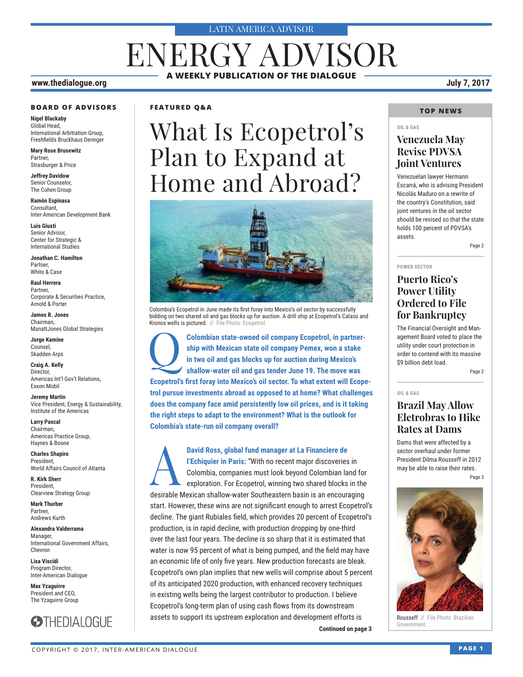#### LATIN AMERICA ADVISOR

# ENERGY ADVISOR **A WEEKLY PUBLICATION OF THE DIALOGUE**

#### **www.thedialogue.org July 7, 2017**

#### **BOARD OF ADVISORS**

**Nigel Blackaby** Global Head, International Arbitration Group, Freshfields Bruckhaus Deringer

**Mary Rose Brusewitz** Partner, Strasburger & Price

**Jeffrey Davidow** Senior Counselor, The Cohen Group

**Ramón Espinasa** Consultant, Inter-American Development Bank

**Luis Giusti** Senior Advisor, Center for Strategic & International Studies

**Jonathan C. Hamilton** Partner, White & Case

**Raul Herrera** Partner, Corporate & Securities Practice, Arnold & Porter

**James R. Jones** Chairman, ManattJones Global Strategies

**Jorge Kamine** Counsel, Skadden Arps

**Craig A. Kelly** Director, Americas Int'l Gov't Relations, Exxon Mobil

**Jeremy Martin** Vice President, Energy & Sustainability, Institute of the Americas

**Larry Pascal** Chairman, Americas Practice Group, Haynes & Boone

**Charles Shapiro** President, World Affairs Council of Atlanta

**R. Kirk Sherr** President, Clearview Strategy Group

**Mark Thurber** Partner, Andrews Kurth

**Alexandra Valderrama** Manager, International Government Affairs, Chevron

**Lisa Viscidi** Program Director, Inter-American Dialogue

**Max Yzaguirre** President and CEO, The Yzaguirre Group



#### **FEATURED Q&A**

# What Is Ecopetrol's Plan to Expand at Home and Abroad?



Colombia's Ecopetrol in June made its first foray into Mexico's oil sector by successfully bidding on two shared oil and gas blocks up for auction. A drill ship at Ecopetrol's Calasú and Kronos wells is pictured. // File Photo: Ecopetrol.

Colombian state-owned oil company Ecopetrol, in partner**ship with Mexican state oil company Pemex, won a stake in two oil and gas blocks up for auction during Mexico's shallow-water oil and gas tender June 19. The move was Ecopetrol's first foray into Mexico's oil sector. To what extent will Ecopetrol pursue investments abroad as opposed to at home? What challenges does the company face amid persistently low oil prices, and is it taking the right steps to adapt to the environment? What is the outlook for Colombia's state-run oil company overall?**

**Continued on page 3 Continued on page 3 David Ross, global fund manager at La Financiere de**<br> **PEChiquier in Paris:** "With no recent major discoveries<br>
Colombia, companies must look beyond Colombian la<br>
exploration. For Ecopetrol, winning two shared blocks **l'Echiquier in Paris:** "With no recent major discoveries in Colombia, companies must look beyond Colombian land for exploration. For Ecopetrol, winning two shared blocks in the desirable Mexican shallow-water Southeastern basin is an encouraging start. However, these wins are not significant enough to arrest Ecopetrol's decline. The giant Rubiales field, which provides 20 percent of Ecopetrol's production, is in rapid decline, with production dropping by one-third over the last four years. The decline is so sharp that it is estimated that water is now 95 percent of what is being pumped, and the field may have an economic life of only five years. New production forecasts are bleak. Ecopetrol's own plan implies that new wells will comprise about 5 percent of its anticipated 2020 production, with enhanced recovery techniques in existing wells being the largest contributor to production. I believe Ecopetrol's long-term plan of using cash flows from its downstream assets to support its upstream exploration and development efforts is

#### **TOP NEWS**

### **OIL & GAS Venezuela May Revise PDVSA Joint Ventures**

Venezuelan lawyer Hermann Escarrá, who is advising President Nicolás Maduro on a rewrite of the country's Constitution, said joint ventures in the oil sector should be revised so that the state holds 100 percent of PDVSA's assets.

Page 2

**POWER SECTOR**

**OIL & GAS**

### **Puerto Rico's Power Utility Ordered to File for Bankruptcy**

The Financial Oversight and Management Board voted to place the utility under court protection in order to contend with its massive \$9 billion debt load.

Page 2

### **Brazil May Allow Eletrobras to Hike Rates at Dams**

Dams that were affected by a sector overhaul under former President Dilma Rousseff in 2012 may be able to raise their rates. Page 3



Rousseff // File Photo: Brazilian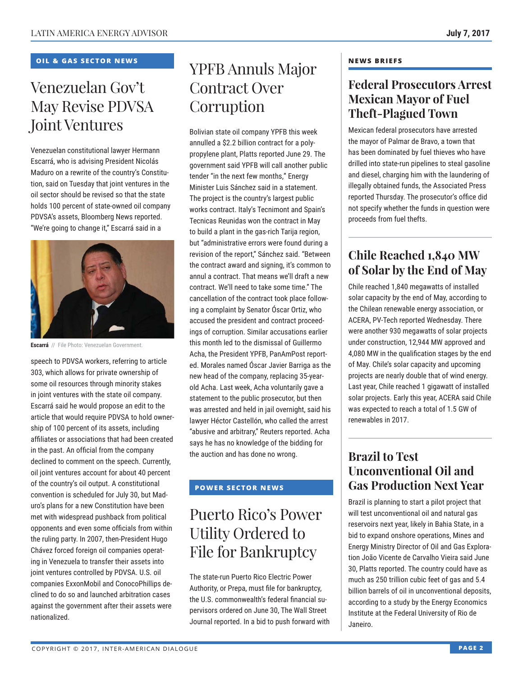### **OIL & GAS SECTOR NEWS**

# Venezuelan Gov't May Revise PDVSA Joint Ventures

Venezuelan constitutional lawyer Hermann Escarrá, who is advising President Nicolás Maduro on a rewrite of the country's Constitution, said on Tuesday that joint ventures in the oil sector should be revised so that the state holds 100 percent of state-owned oil company PDVSA's assets, Bloomberg News reported. "We're going to change it," Escarrá said in a



**Escarrá** // File Photo: Venezuelan Government.

speech to PDVSA workers, referring to article 303, which allows for private ownership of some oil resources through minority stakes in joint ventures with the state oil company. Escarrá said he would propose an edit to the article that would require PDVSA to hold ownership of 100 percent of its assets, including affiliates or associations that had been created in the past. An official from the company declined to comment on the speech. Currently, oil joint ventures account for about 40 percent of the country's oil output. A constitutional convention is scheduled for July 30, but Maduro's plans for a new Constitution have been met with widespread pushback from political opponents and even some officials from within the ruling party. In 2007, then-President Hugo Chávez forced foreign oil companies operating in Venezuela to transfer their assets into joint ventures controlled by PDVSA. U.S. oil companies ExxonMobil and ConocoPhillips declined to do so and launched arbitration cases against the government after their assets were nationalized.

## YPFB Annuls Major Contract Over **Corruption**

Bolivian state oil company YPFB this week annulled a \$2.2 billion contract for a polypropylene plant, Platts reported June 29. The government said YPFB will call another public tender "in the next few months," Energy Minister Luis Sánchez said in a statement. The project is the country's largest public works contract. Italy's Tecnimont and Spain's Tecnicas Reunidas won the contract in May to build a plant in the gas-rich Tarija region, but "administrative errors were found during a revision of the report," Sánchez said. "Between the contract award and signing, it's common to annul a contract. That means we'll draft a new contract. We'll need to take some time." The cancellation of the contract took place following a complaint by Senator Óscar Ortiz, who accused the president and contract proceedings of corruption. Similar accusations earlier this month led to the dismissal of Guillermo Acha, the President YPFB, PanAmPost reported. Morales named Óscar Javier Barriga as the new head of the company, replacing 35-yearold Acha. Last week, Acha voluntarily gave a statement to the public prosecutor, but then was arrested and held in jail overnight, said his lawyer Héctor Castellón, who called the arrest "abusive and arbitrary," Reuters reported. Acha says he has no knowledge of the bidding for the auction and has done no wrong.

### **POWER SECTOR NEWS**

# Puerto Rico's Power Utility Ordered to File for Bankruptcy

The state-run Puerto Rico Electric Power Authority, or Prepa, must file for bankruptcy, the U.S. commonwealth's federal financial supervisors ordered on June 30, The Wall Street Journal reported. In a bid to push forward with

#### **NEWS BRIEFS**

### **Federal Prosecutors Arrest Mexican Mayor of Fuel Theft-Plagued Town**

Mexican federal prosecutors have arrested the mayor of Palmar de Bravo, a town that has been dominated by fuel thieves who have drilled into state-run pipelines to steal gasoline and diesel, charging him with the laundering of illegally obtained funds, the Associated Press reported Thursday. The prosecutor's office did not specify whether the funds in question were proceeds from fuel thefts.

### **Chile Reached 1,840 MW of Solar by the End of May**

Chile reached 1,840 megawatts of installed solar capacity by the end of May, according to the Chilean renewable energy association, or ACERA, PV-Tech reported Wednesday. There were another 930 megawatts of solar projects under construction, 12,944 MW approved and 4,080 MW in the qualification stages by the end of May. Chile's solar capacity and upcoming projects are nearly double that of wind energy. Last year, Chile reached 1 gigawatt of installed solar projects. Early this year, ACERA said Chile was expected to reach a total of 1.5 GW of renewables in 2017.

### **Brazil to Test Unconventional Oil and Gas Production Next Year**

Brazil is planning to start a pilot project that will test unconventional oil and natural gas reservoirs next year, likely in Bahia State, in a bid to expand onshore operations, Mines and Energy Ministry Director of Oil and Gas Exploration João Vicente de Carvalho Vieira said June 30, Platts reported. The country could have as much as 250 trillion cubic feet of gas and 5.4 billion barrels of oil in unconventional deposits, according to a study by the Energy Economics Institute at the Federal University of Rio de Janeiro.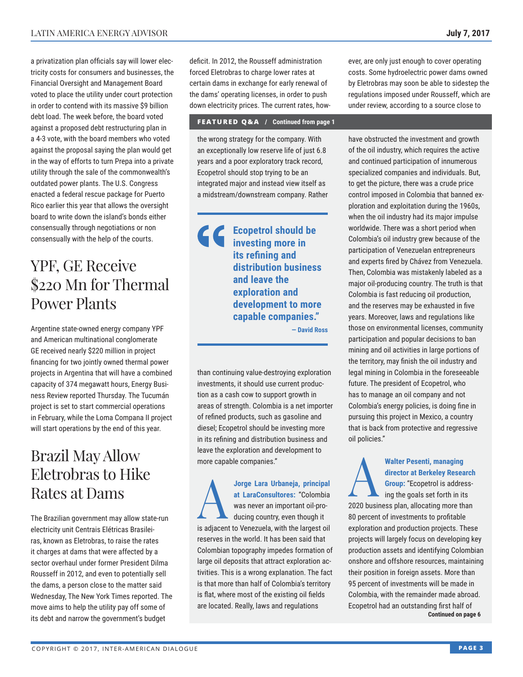a privatization plan officials say will lower electricity costs for consumers and businesses, the Financial Oversight and Management Board voted to place the utility under court protection in order to contend with its massive \$9 billion debt load. The week before, the board voted against a proposed debt restructuring plan in a 4-3 vote, with the board members who voted against the proposal saying the plan would get in the way of efforts to turn Prepa into a private utility through the sale of the commonwealth's outdated power plants. The U.S. Congress enacted a federal rescue package for Puerto Rico earlier this year that allows the oversight board to write down the island's bonds either consensually through negotiations or non consensually with the help of the courts.

### YPF, GE Receive \$220 Mn for Thermal Power Plants

Argentine state-owned energy company YPF and American multinational conglomerate GE received nearly \$220 million in project financing for two jointly owned thermal power projects in Argentina that will have a combined capacity of 374 megawatt hours, Energy Business Review reported Thursday. The Tucumán project is set to start commercial operations in February, while the Loma Compana II project will start operations by the end of this year.

### Brazil May Allow Eletrobras to Hike Rates at Dams

The Brazilian government may allow state-run electricity unit Centrais Elétricas Brasileiras, known as Eletrobras, to raise the rates it charges at dams that were affected by a sector overhaul under former President Dilma Rousseff in 2012, and even to potentially sell the dams, a person close to the matter said Wednesday, The New York Times reported. The move aims to help the utility pay off some of its debt and narrow the government's budget

deficit. In 2012, the Rousseff administration forced Eletrobras to charge lower rates at certain dams in exchange for early renewal of the dams' operating licenses, in order to push down electricity prices. The current rates, how-

#### **FEATURED Q&A / Continued from page 1**

the wrong strategy for the company. With an exceptionally low reserve life of just 6.8 years and a poor exploratory track record, Ecopetrol should stop trying to be an integrated major and instead view itself as a midstream/downstream company. Rather

> **Ecopetrol should be investing more in its refining and distribution business and leave the exploration and development to more capable companies." — David Ross**

than continuing value-destroying exploration investments, it should use current production as a cash cow to support growth in areas of strength. Colombia is a net importer of refined products, such as gasoline and diesel; Ecopetrol should be investing more in its refining and distribution business and leave the exploration and development to more capable companies."

A**Jorge Lara Urbaneja, principal** ducing country, even though it **at LaraConsultores:** "Colombia was never an important oil-prois adjacent to Venezuela, with the largest oil reserves in the world. It has been said that Colombian topography impedes formation of large oil deposits that attract exploration activities. This is a wrong explanation. The fact is that more than half of Colombia's territory is flat, where most of the existing oil fields are located. Really, laws and regulations

ever, are only just enough to cover operating costs. Some hydroelectric power dams owned by Eletrobras may soon be able to sidestep the regulations imposed under Rousseff, which are under review, according to a source close to

have obstructed the investment and growth of the oil industry, which requires the active and continued participation of innumerous specialized companies and individuals. But, to get the picture, there was a crude price control imposed in Colombia that banned exploration and exploitation during the 1960s, when the oil industry had its major impulse worldwide. There was a short period when Colombia's oil industry grew because of the participation of Venezuelan entrepreneurs and experts fired by Chávez from Venezuela. Then, Colombia was mistakenly labeled as a major oil-producing country. The truth is that Colombia is fast reducing oil production, and the reserves may be exhausted in five years. Moreover, laws and regulations like those on environmental licenses, community participation and popular decisions to ban mining and oil activities in large portions of the territory, may finish the oil industry and legal mining in Colombia in the foreseeable future. The president of Ecopetrol, who has to manage an oil company and not Colombia's energy policies, is doing fine in pursuing this project in Mexico, a country that is back from protective and regressive oil policies."

Walter Pesenti, managing<br>director at Berkeley Resea<br>Group: "Ecopetrol is addre:<br>any the goals set forth in it **director at Berkeley Research Group:** "Ecopetrol is address-

ing the goals set forth in its 2020 business plan, allocating more than 80 percent of investments to profitable exploration and production projects. These projects will largely focus on developing key production assets and identifying Colombian onshore and offshore resources, maintaining their position in foreign assets. More than 95 percent of investments will be made in Colombia, with the remainder made abroad. Ecopetrol had an outstanding first half of **Continued on page 6**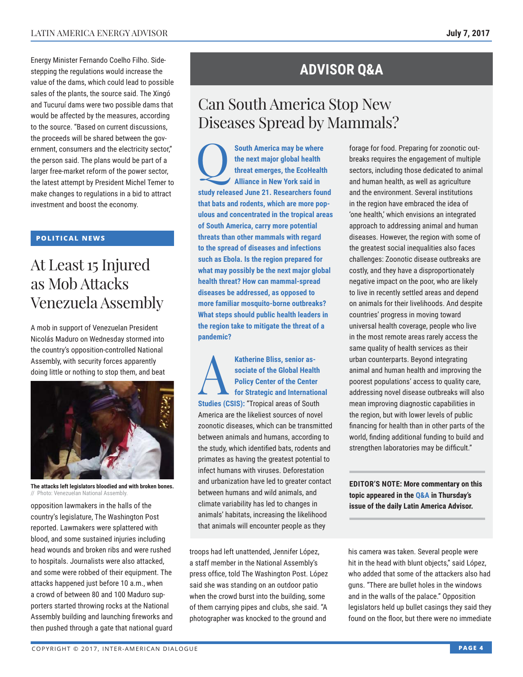Energy Minister Fernando Coelho Filho. Sidestepping the regulations would increase the value of the dams, which could lead to possible sales of the plants, the source said. The Xingó and Tucuruí dams were two possible dams that would be affected by the measures, according to the source. "Based on current discussions, the proceeds will be shared between the government, consumers and the electricity sector," the person said. The plans would be part of a larger free-market reform of the power sector, the latest attempt by President Michel Temer to make changes to regulations in a bid to attract investment and boost the economy.

### **POLITICAL NEWS**

### At Least 15 Injured as Mob Attacks Venezuela Assembly

A mob in support of Venezuelan President Nicolás Maduro on Wednesday stormed into the country's opposition-controlled National Assembly, with security forces apparently doing little or nothing to stop them, and beat



**The attacks left legislators bloodied and with broken bones.** // Photo: Venezuelan National Assembly.

opposition lawmakers in the halls of the country's legislature, The Washington Post reported. Lawmakers were splattered with blood, and some sustained injuries including head wounds and broken ribs and were rushed to hospitals. Journalists were also attacked, and some were robbed of their equipment. The attacks happened just before 10 a.m., when a crowd of between 80 and 100 Maduro supporters started throwing rocks at the National Assembly building and launching fireworks and then pushed through a gate that national guard

### **ADVISOR Q&A**

# Can South America Stop New Diseases Spread by Mammals?

**CO** South America may be where the next major global health threat emerges, the EcoHealth Alliance in New York said in **the next major global health threat emerges, the EcoHealth Alliance in New York said in study released June 21. Researchers found that bats and rodents, which are more populous and concentrated in the tropical areas of South America, carry more potential threats than other mammals with regard to the spread of diseases and infections such as Ebola. Is the region prepared for what may possibly be the next major global health threat? How can mammal-spread diseases be addressed, as opposed to more familiar mosquito-borne outbreaks? What steps should public health leaders in the region take to mitigate the threat of a pandemic?**

**Katherine Bliss, senior as-**<br>
sociate of the Global Health<br>
Policy Center of the Center<br>
for Strategic and International<br> **Studies (CSIS):** "Trapies areas of South **sociate of the Global Health Policy Center of the Center Studies (CSIS):** "Tropical areas of South America are the likeliest sources of novel zoonotic diseases, which can be transmitted between animals and humans, according to the study, which identified bats, rodents and primates as having the greatest potential to infect humans with viruses. Deforestation and urbanization have led to greater contact between humans and wild animals, and climate variability has led to changes in animals' habitats, increasing the likelihood that animals will encounter people as they

troops had left unattended, Jennifer López, a staff member in the National Assembly's press office, told The Washington Post. López said she was standing on an outdoor patio when the crowd burst into the building, some of them carrying pipes and clubs, she said. "A photographer was knocked to the ground and

forage for food. Preparing for zoonotic outbreaks requires the engagement of multiple sectors, including those dedicated to animal and human health, as well as agriculture and the environment. Several institutions in the region have embraced the idea of 'one health,' which envisions an integrated approach to addressing animal and human diseases. However, the region with some of the greatest social inequalities also faces challenges: Zoonotic disease outbreaks are costly, and they have a disproportionately negative impact on the poor, who are likely to live in recently settled areas and depend on animals for their livelihoods. And despite countries' progress in moving toward universal health coverage, people who live in the most remote areas rarely access the same quality of health services as their urban counterparts. Beyond integrating animal and human health and improving the poorest populations' access to quality care, addressing novel disease outbreaks will also mean improving diagnostic capabilities in the region, but with lower levels of public financing for health than in other parts of the world, finding additional funding to build and strengthen laboratories may be difficult."

**EDITOR'S NOTE: More commentary on this topic appeared in the [Q&A i](http://www.thedialogue.org/wp-content/uploads/2017/07/LAA170706.pdf)n Thursday's issue of the daily Latin America Advisor.**

his camera was taken. Several people were hit in the head with blunt objects," said López, who added that some of the attackers also had guns. "There are bullet holes in the windows and in the walls of the palace." Opposition legislators held up bullet casings they said they found on the floor, but there were no immediate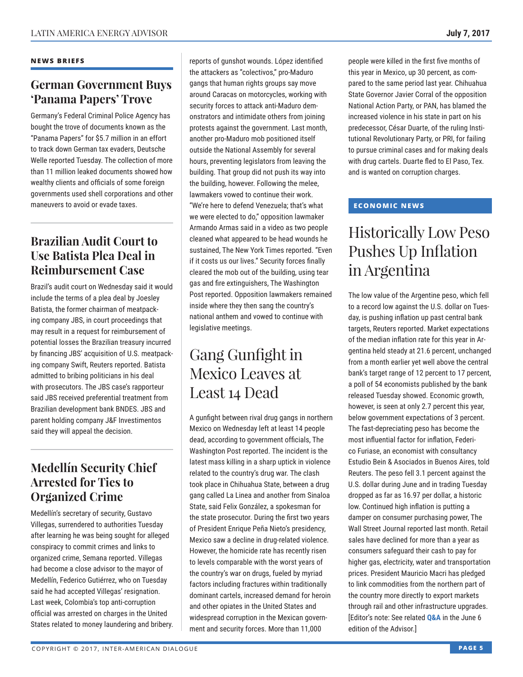#### **NEWS BRIEFS**

### **German Government Buys 'Panama Papers' Trove**

Germany's Federal Criminal Police Agency has bought the trove of documents known as the "Panama Papers" for \$5.7 million in an effort to track down German tax evaders, Deutsche Welle reported Tuesday. The collection of more than 11 million leaked documents showed how wealthy clients and officials of some foreign governments used shell corporations and other maneuvers to avoid or evade taxes.

### **Brazilian Audit Court to Use Batista Plea Deal in Reimbursement Case**

Brazil's audit court on Wednesday said it would include the terms of a plea deal by Joesley Batista, the former chairman of meatpacking company JBS, in court proceedings that may result in a request for reimbursement of potential losses the Brazilian treasury incurred by financing JBS' acquisition of U.S. meatpacking company Swift, Reuters reported. Batista admitted to bribing politicians in his deal with prosecutors. The JBS case's rapporteur said JBS received preferential treatment from Brazilian development bank BNDES. JBS and parent holding company J&F Investimentos said they will appeal the decision.

### **Medellín Security Chief Arrested for Ties to Organized Crime**

Medellín's secretary of security, Gustavo Villegas, surrendered to authorities Tuesday after learning he was being sought for alleged conspiracy to commit crimes and links to organized crime, Semana reported. Villegas had become a close advisor to the mayor of Medellín, Federico Gutiérrez, who on Tuesday said he had accepted Villegas' resignation. Last week, Colombia's top anti-corruption official was arrested on charges in the United States related to money laundering and bribery.

reports of gunshot wounds. López identified the attackers as "colectivos," pro-Maduro gangs that human rights groups say move around Caracas on motorcycles, working with security forces to attack anti-Maduro demonstrators and intimidate others from joining protests against the government. Last month, another pro-Maduro mob positioned itself outside the National Assembly for several hours, preventing legislators from leaving the building. That group did not push its way into the building, however. Following the melee, lawmakers vowed to continue their work. "We're here to defend Venezuela; that's what we were elected to do," opposition lawmaker Armando Armas said in a video as two people cleaned what appeared to be head wounds he sustained, The New York Times reported. "Even if it costs us our lives." Security forces finally cleared the mob out of the building, using tear gas and fire extinguishers, The Washington Post reported. Opposition lawmakers remained inside where they then sang the country's national anthem and vowed to continue with legislative meetings.

# Gang Gunfight in Mexico Leaves at Least 14 Dead

A gunfight between rival drug gangs in northern Mexico on Wednesday left at least 14 people dead, according to government officials, The Washington Post reported. The incident is the latest mass killing in a sharp uptick in violence related to the country's drug war. The clash took place in Chihuahua State, between a drug gang called La Linea and another from Sinaloa State, said Felix González, a spokesman for the state prosecutor. During the first two years of President Enrique Peña Nieto's presidency, Mexico saw a decline in drug-related violence. However, the homicide rate has recently risen to levels comparable with the worst years of the country's war on drugs, fueled by myriad factors including fractures within traditionally dominant cartels, increased demand for heroin and other opiates in the United States and widespread corruption in the Mexican government and security forces. More than 11,000

people were killed in the first five months of this year in Mexico, up 30 percent, as compared to the same period last year. Chihuahua State Governor Javier Corral of the opposition National Action Party, or PAN, has blamed the increased violence in his state in part on his predecessor, César Duarte, of the ruling Institutional Revolutionary Party, or PRI, for failing to pursue criminal cases and for making deals with drug cartels. Duarte fled to El Paso, Tex. and is wanted on corruption charges.

### **ECONOMIC NEWS**

# Historically Low Peso Pushes Up Inflation in Argentina

The low value of the Argentine peso, which fell to a record low against the U.S. dollar on Tuesday, is pushing inflation up past central bank targets, Reuters reported. Market expectations of the median inflation rate for this year in Argentina held steady at 21.6 percent, unchanged from a month earlier yet well above the central bank's target range of 12 percent to 17 percent, a poll of 54 economists published by the bank released Tuesday showed. Economic growth, however, is seen at only 2.7 percent this year, below government expectations of 3 percent. The fast-depreciating peso has become the most influential factor for inflation, Federico Furiase, an economist with consultancy Estudio Bein & Asociados in Buenos Aires, told Reuters. The peso fell 3.1 percent against the U.S. dollar during June and in trading Tuesday dropped as far as 16.97 per dollar, a historic low. Continued high inflation is putting a damper on consumer purchasing power, The Wall Street Journal reported last month. Retail sales have declined for more than a year as consumers safeguard their cash to pay for higher gas, electricity, water and transportation prices. President Mauricio Macri has pledged to link commodities from the northern part of the country more directly to export markets through rail and other infrastructure upgrades. [Editor's note: See related **[Q&A](http://www.thedialogue.org/wp-content/uploads/2017/06/LAA170606.pdf)** in the June 6 edition of the Advisor.]